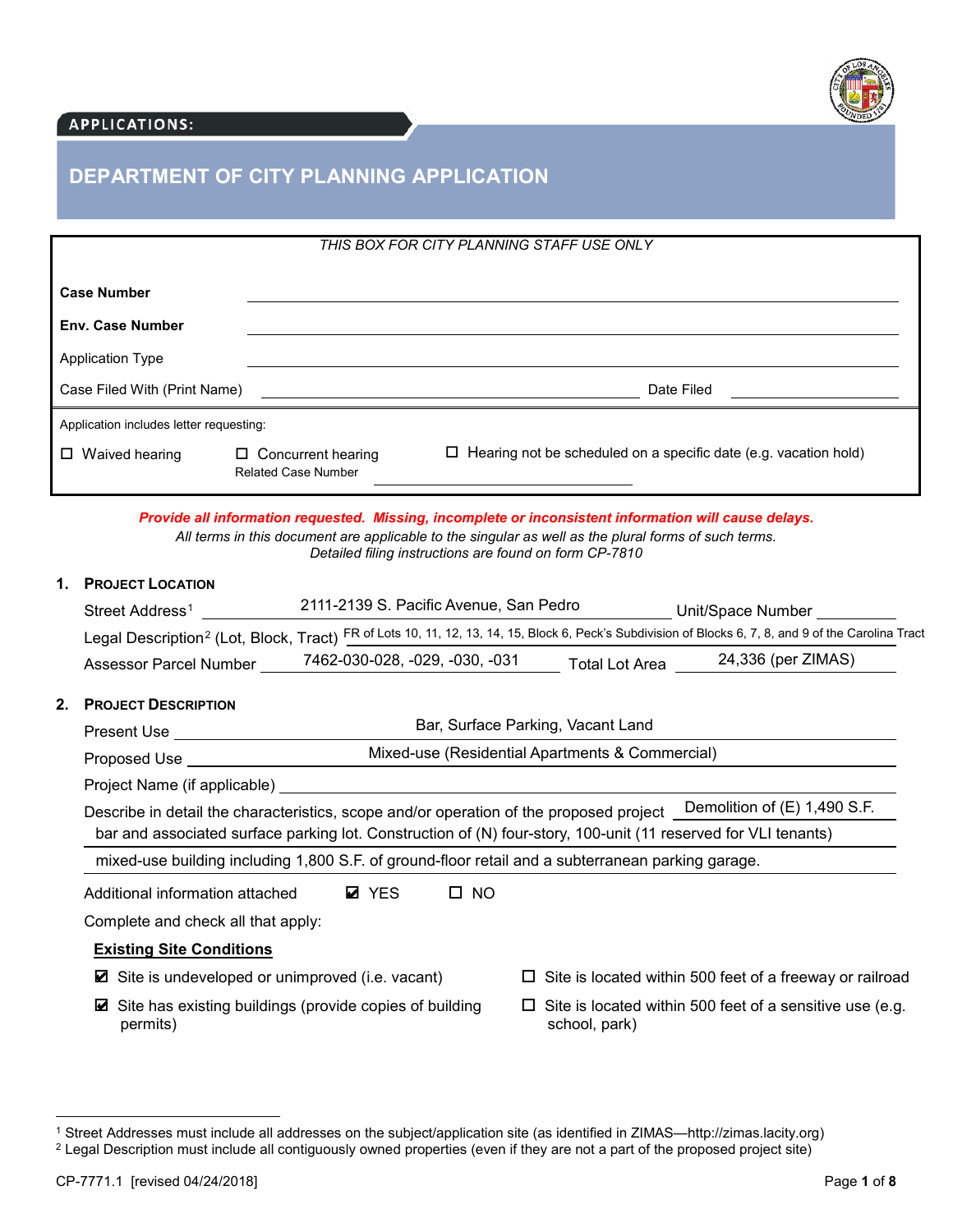

## **APPLICATIONS:**

# **DEPARTMENT OF CITY PLANNING APPLICATION**

| THIS BOX FOR CITY PLANNING STAFF USE ONLY  |                                                         |                                                                         |  |  |
|--------------------------------------------|---------------------------------------------------------|-------------------------------------------------------------------------|--|--|
| <b>Case Number</b>                         |                                                         |                                                                         |  |  |
| <b>Env. Case Number</b>                    |                                                         |                                                                         |  |  |
| <b>Application Type</b>                    |                                                         |                                                                         |  |  |
| Date Filed<br>Case Filed With (Print Name) |                                                         |                                                                         |  |  |
| Application includes letter requesting:    |                                                         |                                                                         |  |  |
| $\Box$ Waived hearing                      | $\Box$ Concurrent hearing<br><b>Related Case Number</b> | $\Box$ Hearing not be scheduled on a specific date (e.g. vacation hold) |  |  |

*Provide all information requested. Missing, incomplete or inconsistent information will cause delays. All terms in this document are applicable to the singular as well as the plural forms of such terms. Detailed filing instructions are found on form CP-7810* 

# **1. PROJECT LOCATION**

|                                                                                                   | Street Address <sup>1</sup>                                                                                                                                                                                                         | 2111-2139 S. Pacific Avenue, San Pedro |              |                                   | Unit/Space Number                                                                                                                                                |  |  |  |
|---------------------------------------------------------------------------------------------------|-------------------------------------------------------------------------------------------------------------------------------------------------------------------------------------------------------------------------------------|----------------------------------------|--------------|-----------------------------------|------------------------------------------------------------------------------------------------------------------------------------------------------------------|--|--|--|
|                                                                                                   |                                                                                                                                                                                                                                     |                                        |              |                                   | Legal Description <sup>2</sup> (Lot, Block, Tract) FR of Lots 10, 11, 12, 13, 14, 15, Block 6, Peck's Subdivision of Blocks 6, 7, 8, and 9 of the Carolina Tract |  |  |  |
|                                                                                                   | <b>Assessor Parcel Number</b>                                                                                                                                                                                                       | 7462-030-028, -029, -030, -031         |              | <b>Total Lot Area</b>             | 24,336 (per ZIMAS)                                                                                                                                               |  |  |  |
| 2.                                                                                                | <b>PROJECT DESCRIPTION</b>                                                                                                                                                                                                          |                                        |              |                                   |                                                                                                                                                                  |  |  |  |
|                                                                                                   | Present Use <b>Example 20</b> No. 1 No. 1 No. 1 No. 1 No. 1 No. 1 No. 1 No. 1 No. 1 No. 1 No. 1 No. 1 No. 1 No. 1 No. 1 No. 1 No. 1 No. 1 No. 1 No. 1 No. 1 No. 1 No. 1 No. 1 No. 1 No. 1 No. 1 No. 1 No. 1 No. 1 No. 1 No. 1 No. 1 |                                        |              | Bar, Surface Parking, Vacant Land |                                                                                                                                                                  |  |  |  |
| Mixed-use (Residential Apartments & Commercial)<br>Proposed Use <b>Example 20</b>                 |                                                                                                                                                                                                                                     |                                        |              |                                   |                                                                                                                                                                  |  |  |  |
|                                                                                                   |                                                                                                                                                                                                                                     |                                        |              |                                   |                                                                                                                                                                  |  |  |  |
|                                                                                                   | bar and associated surface parking lot. Construction of (N) four-story, 100-unit (11 reserved for VLI tenants)                                                                                                                      |                                        |              |                                   | Describe in detail the characteristics, scope and/or operation of the proposed project <u>Demolition of</u> (E) 1,490 S.F.                                       |  |  |  |
| mixed-use building including 1,800 S.F. of ground-floor retail and a subterranean parking garage. |                                                                                                                                                                                                                                     |                                        |              |                                   |                                                                                                                                                                  |  |  |  |
|                                                                                                   | Additional information attached                                                                                                                                                                                                     | <b>Ø</b> YES                           | $\square$ NO |                                   |                                                                                                                                                                  |  |  |  |
|                                                                                                   | Complete and check all that apply:                                                                                                                                                                                                  |                                        |              |                                   |                                                                                                                                                                  |  |  |  |
|                                                                                                   | <b>Existing Site Conditions</b>                                                                                                                                                                                                     |                                        |              |                                   |                                                                                                                                                                  |  |  |  |
| Site is undeveloped or unimproved (i.e. vacant)<br>M                                              |                                                                                                                                                                                                                                     |                                        |              |                                   | $\Box$ Site is located within 500 feet of a freeway or railroad                                                                                                  |  |  |  |
|                                                                                                   | Site has existing buildings (provide copies of building<br>М<br>permits)                                                                                                                                                            |                                        |              | school, park)                     | Site is located within 500 feet of a sensitive use (e.g.                                                                                                         |  |  |  |

l

<sup>1</sup> Street Addresses must include all addresses on the subject/application site (as identified in ZIMAS—http://zimas.lacity.org)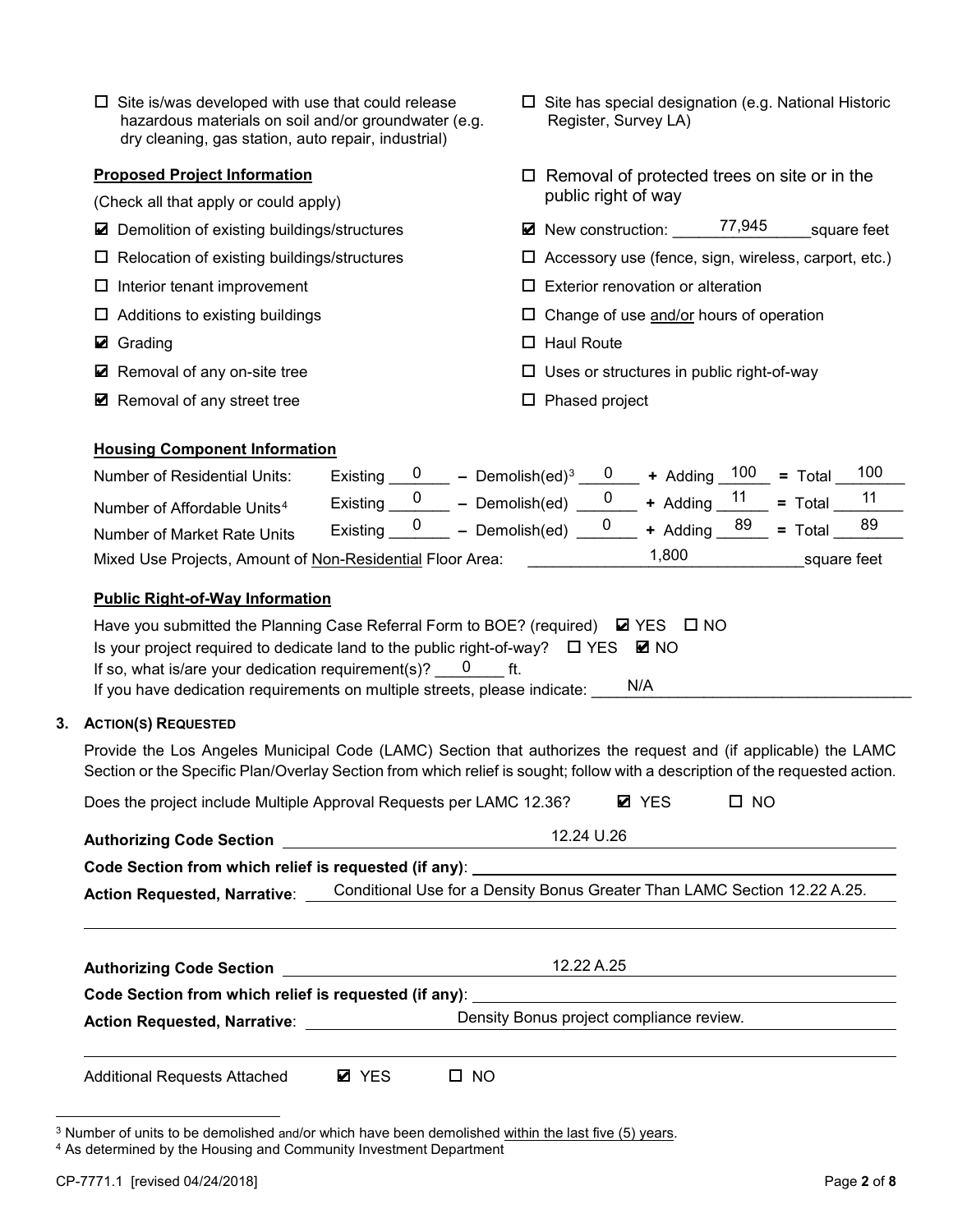| $\Box$ Site is/was developed with use that could release |
|----------------------------------------------------------|
| hazardous materials on soil and/or groundwater (e.g.     |
| dry cleaning, gas station, auto repair, industrial)      |

### **Proposed Project Information**

- (Check all that apply or could apply)
- 
- 
- 
- 
- Grading
- Removal of any on-site tree
- Removal of any street tree 
→ Phased project
- $\square$  Site has special designation (e.g. National Historic Register, Survey LA)
- $\Box$  Removal of protected trees on site or in the public right of way
- Demolition of existing buildings/structures New construction: 77,945 square feet 77,945
- $\Box$  Relocation of existing buildings/structures  $\Box$  Accessory use (fence, sign, wireless, carport, etc.)
- $\Box$  Interior tenant improvement  $\Box$  Exterior renovation or alteration
- $\Box$  Additions to existing buildings  $\Box$  Change of use  $\underline{\text{and/or}}$  hours of operation
	- $\Box$  Haul Route
	- $\square$  Uses or structures in public right-of-way
	-

## **Housing Component Information**

| <b>Number of Residential Units:</b>                       | Existing          | - Demolish(ed) <sup>3</sup> | $\mathbf{U}$ | + Adding $100 =$ Total         |             | 100 |
|-----------------------------------------------------------|-------------------|-----------------------------|--------------|--------------------------------|-------------|-----|
| Number of Affordable Units <sup>4</sup>                   | Existing          | $-$ Demolish(ed)            |              | + Adding $11$ = Total          |             | -11 |
| Number of Market Rate Units                               | Existing $\sigma$ | $-$ Demolish(ed)            |              | + Adding <sup>89</sup> = Total |             | 89  |
| Mixed Use Projects, Amount of Non-Residential Floor Area: |                   |                             |              | 1,800                          | square feet |     |

## **Public Right-of-Way Information**

| Have you submitted the Planning Case Referral Form to BOE? (required) $\boxtimes$ YES $\Box$ NO  |     |
|--------------------------------------------------------------------------------------------------|-----|
| Is your project required to dedicate land to the public right-of-way? $\square$ YES $\square$ NO |     |
| If so, what is/are your dedication requirement(s)? $0$ ft.                                       |     |
| If you have dedication requirements on multiple streets, please indicate:                        | N/A |

### **3. ACTION(S) REQUESTED**

Provide the Los Angeles Municipal Code (LAMC) Section that authorizes the request and (if applicable) the LAMC Section or the Specific Plan/Overlay Section from which relief is sought; follow with a description of the requested action.

| Does the project include Multiple Approval Requests per LAMC 12.36? | <b>Ø</b> YES | $\Box$ NO |
|---------------------------------------------------------------------|--------------|-----------|
|---------------------------------------------------------------------|--------------|-----------|

|                                                          | 12.24 U.26                                                                       |
|----------------------------------------------------------|----------------------------------------------------------------------------------|
|                                                          | Code Section from which relief is requested (if any): __________________________ |
| <b>Action Requested, Narrative:</b>                      | Conditional Use for a Density Bonus Greater Than LAMC Section 12.22 A.25.        |
| <b>Authorizing Code Section Authorizing Code Section</b> | 12.22 A.25                                                                       |
|                                                          | Code Section from which relief is requested (if any): __________________________ |
| <b>Action Requested, Narrative:</b>                      | Density Bonus project compliance review.                                         |
|                                                          |                                                                                  |

Additional Requests Attached **Ø** YES □ NO **Ø** YES

l

<sup>3</sup> Number of units to be demolished and/or which have been demolished within the last five (5) years.

<sup>4</sup> As determined by the Housing and Community Investment Department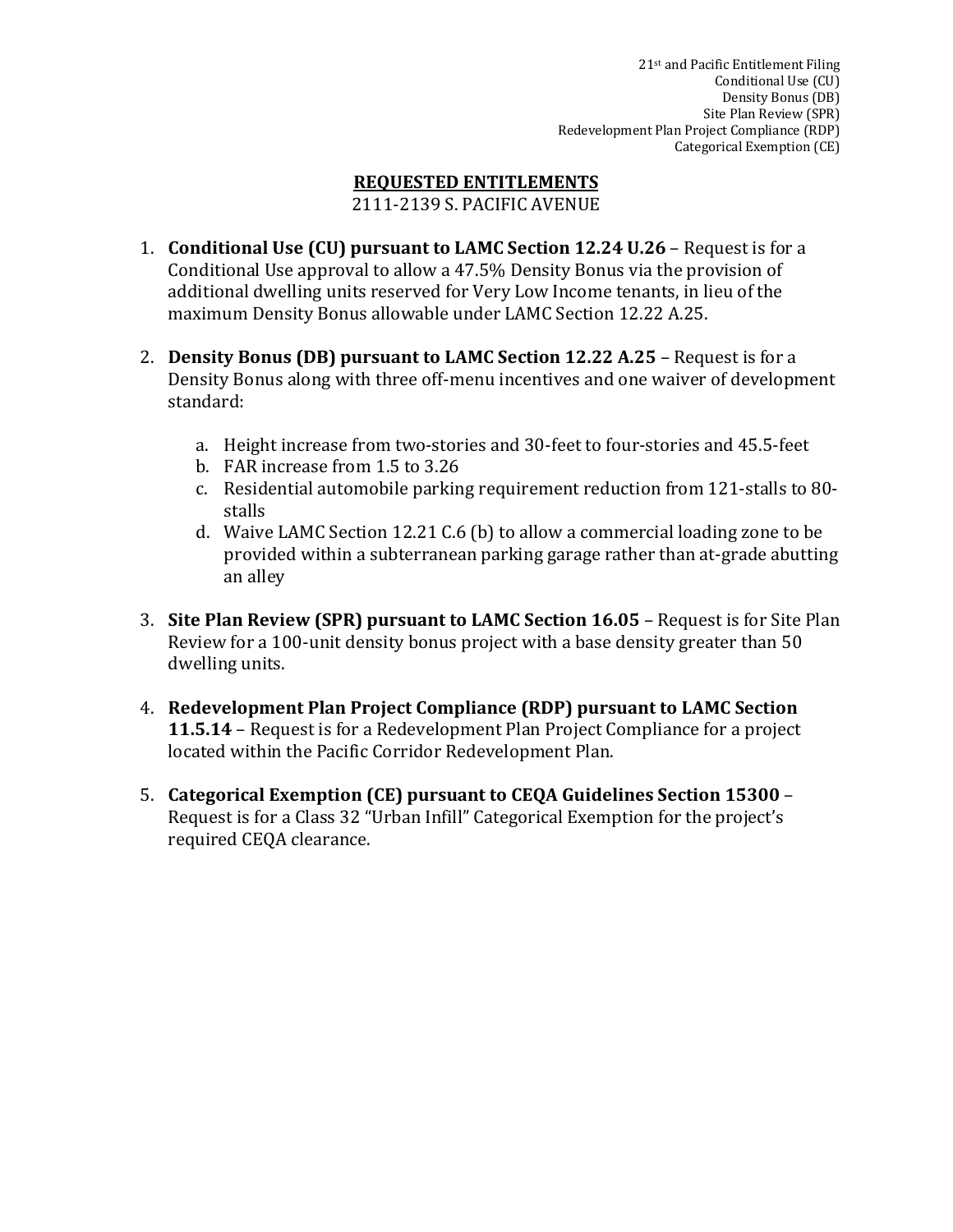# **REQUESTED ENTITLEMENTS**

2111-2139 S. PACIFIC AVENUE

- 1. **Conditional Use (CU) pursuant to LAMC Section 12.24 U.26** Request is for a Conditional Use approval to allow a  $47.5\%$  Density Bonus via the provision of additional dwelling units reserved for Very Low Income tenants, in lieu of the maximum Density Bonus allowable under LAMC Section 12.22 A.25.
- 2. **Density Bonus (DB) pursuant to LAMC Section 12.22 A.25** Request is for a Density Bonus along with three off-menu incentives and one waiver of development standard:
	- a. Height increase from two-stories and 30-feet to four-stories and 45.5-feet
	- b. FAR increase from 1.5 to 3.26
	- c. Residential automobile parking requirement reduction from 121-stalls to 80stalls
	- d. Waive LAMC Section 12.21 C.6 (b) to allow a commercial loading zone to be provided within a subterranean parking garage rather than at-grade abutting an alley
- 3. **Site Plan Review (SPR) pursuant to LAMC Section 16.05** Request is for Site Plan Review for a 100-unit density bonus project with a base density greater than 50 dwelling units.
- 4. Redevelopment Plan Project Compliance (RDP) pursuant to LAMC Section **11.5.14** – Request is for a Redevelopment Plan Project Compliance for a project located within the Pacific Corridor Redevelopment Plan.
- 5. Categorical Exemption (CE) pursuant to CEQA Guidelines Section 15300 -Request is for a Class 32 "Urban Infill" Categorical Exemption for the project's required CEQA clearance.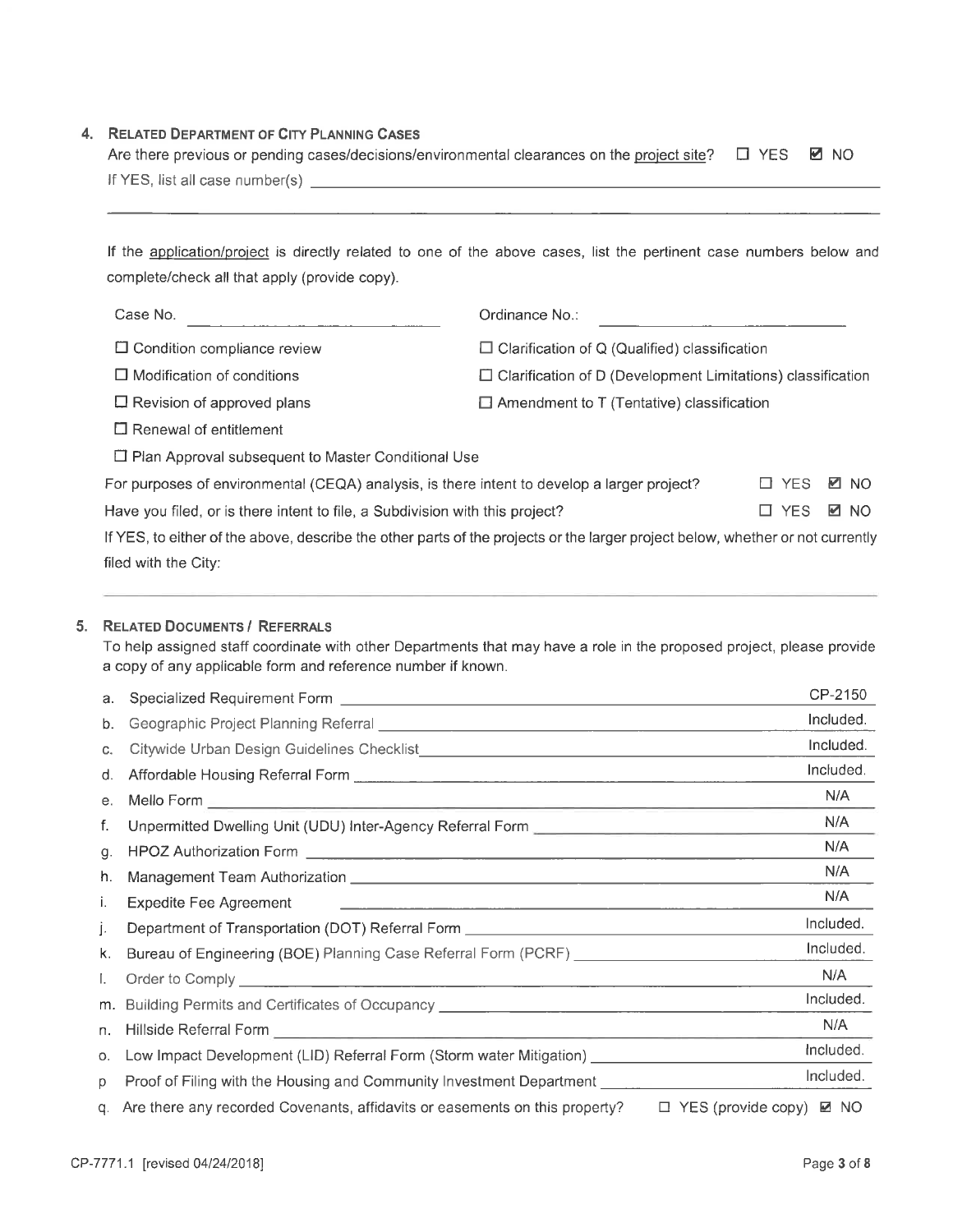# 4. RELATED DEPARTMENT OF CITY PLANNING CASES

| Are there previous or pending cases/decisions/environmental clearances on the project site? $\square$ YES $\square$ NO |  |
|------------------------------------------------------------------------------------------------------------------------|--|
| If YES, list all case number(s)                                                                                        |  |

If the application/project is directly related to one of the above cases, list the pertinent case numbers below and complete/check all that apply (provide copy).

| Case No.                                                                     | Ordinance No.:                                                                                                                 |       |             |
|------------------------------------------------------------------------------|--------------------------------------------------------------------------------------------------------------------------------|-------|-------------|
| $\Box$ Condition compliance review                                           | $\Box$ Clarification of Q (Qualified) classification                                                                           |       |             |
| $\Box$ Modification of conditions                                            | $\Box$ Clarification of D (Development Limitations) classification                                                             |       |             |
| $\Box$ Revision of approved plans                                            | $\Box$ Amendment to T (Tentative) classification                                                                               |       |             |
| $\Box$ Renewal of entitlement                                                |                                                                                                                                |       |             |
| $\Box$ Plan Approval subsequent to Master Conditional Use                    |                                                                                                                                |       |             |
|                                                                              | For purposes of environmental (CEQA) analysis, is there intent to develop a larger project?                                    | □ YES | <b>⊠</b> NO |
| Have you filed, or is there intent to file, a Subdivision with this project? |                                                                                                                                | □ YES | <b>☑</b> NO |
|                                                                              | If YES, to either of the above, describe the other parts of the projects or the larger project below, whether or not currently |       |             |
| filed with the City:                                                         |                                                                                                                                |       |             |

#### 5. RELATED DOCUMENTS / REFERRALS

To help assigned staff coordinate with other Departments that may have a role in the proposed project, please provide a copy of any applicable form and reference number if known.

| а. |                                                                                                                                                                                                                                      | CP-2150                                  |
|----|--------------------------------------------------------------------------------------------------------------------------------------------------------------------------------------------------------------------------------------|------------------------------------------|
| b. | Geographic Project Planning Referral [1942] [2012] [2012] [2012] [2012] [2012] [2012] [2012] [2012] [2012] [20                                                                                                                       | Included.                                |
| C. |                                                                                                                                                                                                                                      | Included.                                |
| d. |                                                                                                                                                                                                                                      | Included.                                |
| е. |                                                                                                                                                                                                                                      | N/A                                      |
| f. | Unpermitted Dwelling Unit (UDU) Inter-Agency Referral Form _____________________                                                                                                                                                     | N/A                                      |
| g. |                                                                                                                                                                                                                                      | N/A                                      |
| h. |                                                                                                                                                                                                                                      | N/A                                      |
| Τ. | <b>Expedite Fee Agreement</b>                                                                                                                                                                                                        | N/A                                      |
| Ŀ  | Department of Transportation (DOT) Referral Form _______________________________                                                                                                                                                     | Included.                                |
| k. | Bureau of Engineering (BOE) Planning Case Referral Form (PCRF) _________________                                                                                                                                                     | Included.                                |
| L. |                                                                                                                                                                                                                                      | N/A                                      |
|    |                                                                                                                                                                                                                                      | Included.                                |
| n. | Hillside Referral Form <b>contract to the contract of the contract of the contract of the contract of the contract of the contract of the contract of the contract of the contract of the contract of the contract of the contra</b> | N/A                                      |
| О. | Low Impact Development (LID) Referral Form (Storm water Mitigation) ____________                                                                                                                                                     | Included.                                |
| D. | Proof of Filing with the Housing and Community Investment Department ______________________________                                                                                                                                  | Included.                                |
|    | q. Are there any recorded Covenants, affidavits or easements on this property?                                                                                                                                                       | $\Box$ YES (provide copy) $\boxtimes$ NO |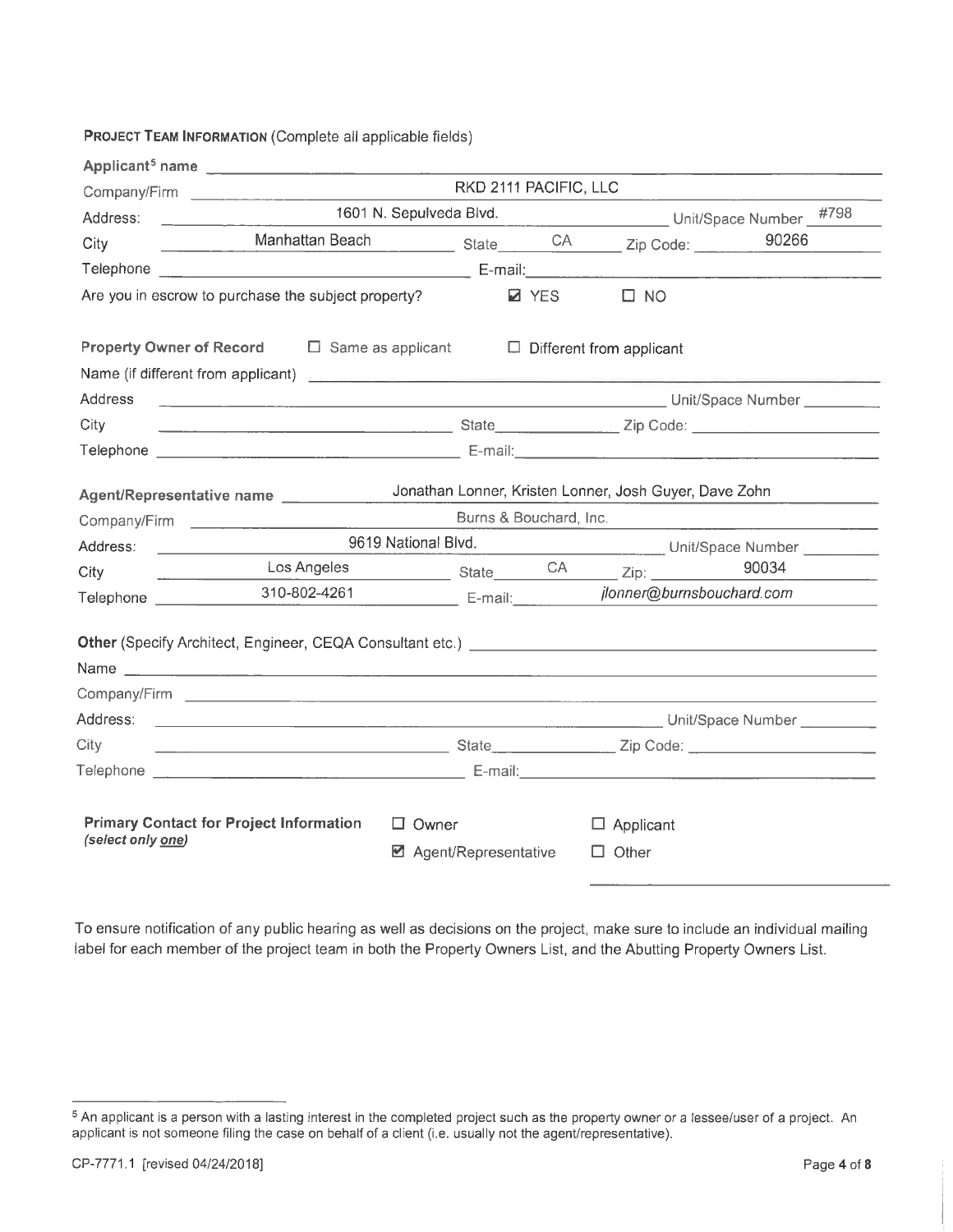### PROJECT TEAM INFORMATION (Complete all applicable fields)

| RKD 2111 PACIFIC, LLC<br>1601 N. Sepulveda Blvd.<br>Unit/Space Number #798<br>Address:<br>City<br>Are you in escrow to purchase the subject property?<br>$\square$ NO<br><b>Z</b> YES<br><b>Property Owner of Record</b> $\Box$ Same as applicant $\Box$ Different from applicant<br>Name (if different from applicant) <b>All and Street and Street All and Street All and Street All and Street All and Street All and Street All and Street All and Street All and Street All and Street All and Street All and St</b><br>Address<br>City<br>Jonathan Lonner, Kristen Lonner, Josh Guyer, Dave Zohn<br>Agent/Representative name ___________<br>Burns & Bouchard, Inc.<br>9619 National Blvd. Unit/Space Number<br>Address:<br>Los Angeles State CA Zip: 30034<br>City<br><u> Alexandria (m. 1858)</u><br>310-802-4261 E-mail: <i>ilonner@burnsbouchard.com</i> | 90266 |
|--------------------------------------------------------------------------------------------------------------------------------------------------------------------------------------------------------------------------------------------------------------------------------------------------------------------------------------------------------------------------------------------------------------------------------------------------------------------------------------------------------------------------------------------------------------------------------------------------------------------------------------------------------------------------------------------------------------------------------------------------------------------------------------------------------------------------------------------------------------------|-------|
|                                                                                                                                                                                                                                                                                                                                                                                                                                                                                                                                                                                                                                                                                                                                                                                                                                                                    |       |
|                                                                                                                                                                                                                                                                                                                                                                                                                                                                                                                                                                                                                                                                                                                                                                                                                                                                    |       |
|                                                                                                                                                                                                                                                                                                                                                                                                                                                                                                                                                                                                                                                                                                                                                                                                                                                                    |       |
|                                                                                                                                                                                                                                                                                                                                                                                                                                                                                                                                                                                                                                                                                                                                                                                                                                                                    |       |
|                                                                                                                                                                                                                                                                                                                                                                                                                                                                                                                                                                                                                                                                                                                                                                                                                                                                    |       |
|                                                                                                                                                                                                                                                                                                                                                                                                                                                                                                                                                                                                                                                                                                                                                                                                                                                                    |       |
|                                                                                                                                                                                                                                                                                                                                                                                                                                                                                                                                                                                                                                                                                                                                                                                                                                                                    |       |
|                                                                                                                                                                                                                                                                                                                                                                                                                                                                                                                                                                                                                                                                                                                                                                                                                                                                    |       |
|                                                                                                                                                                                                                                                                                                                                                                                                                                                                                                                                                                                                                                                                                                                                                                                                                                                                    |       |
|                                                                                                                                                                                                                                                                                                                                                                                                                                                                                                                                                                                                                                                                                                                                                                                                                                                                    |       |
|                                                                                                                                                                                                                                                                                                                                                                                                                                                                                                                                                                                                                                                                                                                                                                                                                                                                    |       |
|                                                                                                                                                                                                                                                                                                                                                                                                                                                                                                                                                                                                                                                                                                                                                                                                                                                                    |       |
|                                                                                                                                                                                                                                                                                                                                                                                                                                                                                                                                                                                                                                                                                                                                                                                                                                                                    |       |
|                                                                                                                                                                                                                                                                                                                                                                                                                                                                                                                                                                                                                                                                                                                                                                                                                                                                    |       |
|                                                                                                                                                                                                                                                                                                                                                                                                                                                                                                                                                                                                                                                                                                                                                                                                                                                                    |       |
|                                                                                                                                                                                                                                                                                                                                                                                                                                                                                                                                                                                                                                                                                                                                                                                                                                                                    |       |
|                                                                                                                                                                                                                                                                                                                                                                                                                                                                                                                                                                                                                                                                                                                                                                                                                                                                    |       |
| Other (Specify Architect, Engineer, CEQA Consultant etc.) <b>COMENT:</b> A set of the set of the set of the set of the set of the set of the set of the set of the set of the set of the set of the set of the set of the set of th                                                                                                                                                                                                                                                                                                                                                                                                                                                                                                                                                                                                                                |       |
|                                                                                                                                                                                                                                                                                                                                                                                                                                                                                                                                                                                                                                                                                                                                                                                                                                                                    |       |
|                                                                                                                                                                                                                                                                                                                                                                                                                                                                                                                                                                                                                                                                                                                                                                                                                                                                    |       |
| Address:                                                                                                                                                                                                                                                                                                                                                                                                                                                                                                                                                                                                                                                                                                                                                                                                                                                           |       |
| City                                                                                                                                                                                                                                                                                                                                                                                                                                                                                                                                                                                                                                                                                                                                                                                                                                                               |       |
|                                                                                                                                                                                                                                                                                                                                                                                                                                                                                                                                                                                                                                                                                                                                                                                                                                                                    |       |
| <b>Primary Contact for Project Information</b><br>$\Box$ Owner<br>$\Box$ Applicant                                                                                                                                                                                                                                                                                                                                                                                                                                                                                                                                                                                                                                                                                                                                                                                 |       |
| (select only one)<br>■ Agent/Representative<br>$\Box$ Other                                                                                                                                                                                                                                                                                                                                                                                                                                                                                                                                                                                                                                                                                                                                                                                                        |       |

To ensure notification of any public hearing as well as decisions on the project, make sure to include an individual mailing label for each member of the project team in both the Property Owners List, and the Abutting Property Owners List.

<sup>&</sup>lt;sup>5</sup> An applicant is a person with a lasting interest in the completed project such as the property owner or a lessee/user of a project. An applicant is not someone filing the case on behalf of a client (i.e. usually not the agent/representative).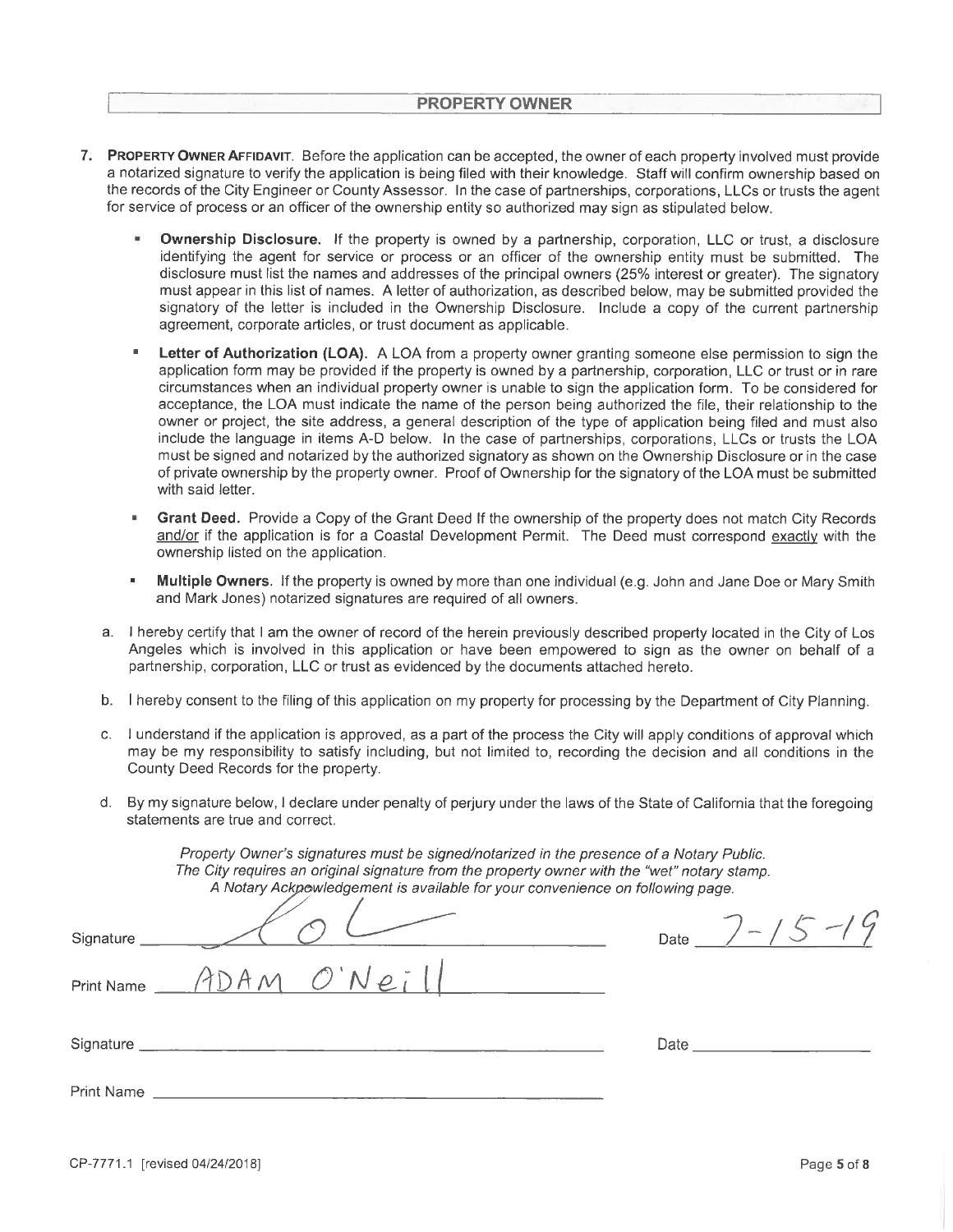- 7. PROPERTY OWNER AFFIDAVIT. Before the application can be accepted, the owner of each property involved must provide a notarized signature to verify the application is being filed with their knowledge. Staff will confirm ownership based on the records of the City Engineer or County Assessor. In the case of partnerships, corporations, LLCs or trusts the agent for service of process or an officer of the ownership entity so authorized may sign as stipulated below.
	- ¥ Ownership Disclosure. If the property is owned by a partnership, corporation, LLC or trust, a disclosure identifying the agent for service or process or an officer of the ownership entity must be submitted. The disclosure must list the names and addresses of the principal owners (25% interest or greater). The signatory must appear in this list of names. A letter of authorization, as described below, may be submitted provided the signatory of the letter is included in the Ownership Disclosure. Include a copy of the current partnership agreement, corporate articles, or trust document as applicable.
	- Letter of Authorization (LOA). A LOA from a property owner granting someone else permission to sign the application form may be provided if the property is owned by a partnership, corporation. LLC or trust or in rare circumstances when an individual property owner is unable to sign the application form. To be considered for acceptance, the LOA must indicate the name of the person being authorized the file, their relationship to the owner or project, the site address, a general description of the type of application being filed and must also include the language in items A-D below. In the case of partnerships, corporations, LLCs or trusts the LOA must be signed and notarized by the authorized signatory as shown on the Ownership Disclosure or in the case of private ownership by the property owner. Proof of Ownership for the signatory of the LOA must be submitted with said letter.
	- Grant Deed. Provide a Copy of the Grant Deed If the ownership of the property does not match City Records and/or if the application is for a Coastal Development Permit. The Deed must correspond exactly with the ownership listed on the application.
	- Multiple Owners. If the property is owned by more than one individual (e.g. John and Jane Doe or Mary Smith and Mark Jones) notarized signatures are required of all owners.
	- a. I hereby certify that I am the owner of record of the herein previously described property located in the City of Los Angeles which is involved in this application or have been empowered to sign as the owner on behalf of a partnership, corporation, LLC or trust as evidenced by the documents attached hereto.
	- b. I hereby consent to the filing of this application on my property for processing by the Department of City Planning.
	- c. I understand if the application is approved, as a part of the process the City will apply conditions of approval which may be my responsibility to satisfy including, but not limited to, recording the decision and all conditions in the County Deed Records for the property.
	- d. By my signature below, I declare under penalty of perjury under the laws of the State of California that the foregoing statements are true and correct

Property Owner's signatures must be signed/notarized in the presence of a Notary Public.

|             | The City requires an original signature from the property owner with the "wet" notary stamp.<br>A Notary Ackpowledgement is available for your convenience on following page. |                                                                                                                                                                                                                                |
|-------------|-------------------------------------------------------------------------------------------------------------------------------------------------------------------------------|--------------------------------------------------------------------------------------------------------------------------------------------------------------------------------------------------------------------------------|
| Signature _ |                                                                                                                                                                               | $/$ - ,<br>Date                                                                                                                                                                                                                |
|             | Print Name $ADAM$ $ONe$ $l$                                                                                                                                                   |                                                                                                                                                                                                                                |
|             |                                                                                                                                                                               | Date and the state of the state of the state of the state of the state of the state of the state of the state of the state of the state of the state of the state of the state of the state of the state of the state of the s |
| Print Name  |                                                                                                                                                                               |                                                                                                                                                                                                                                |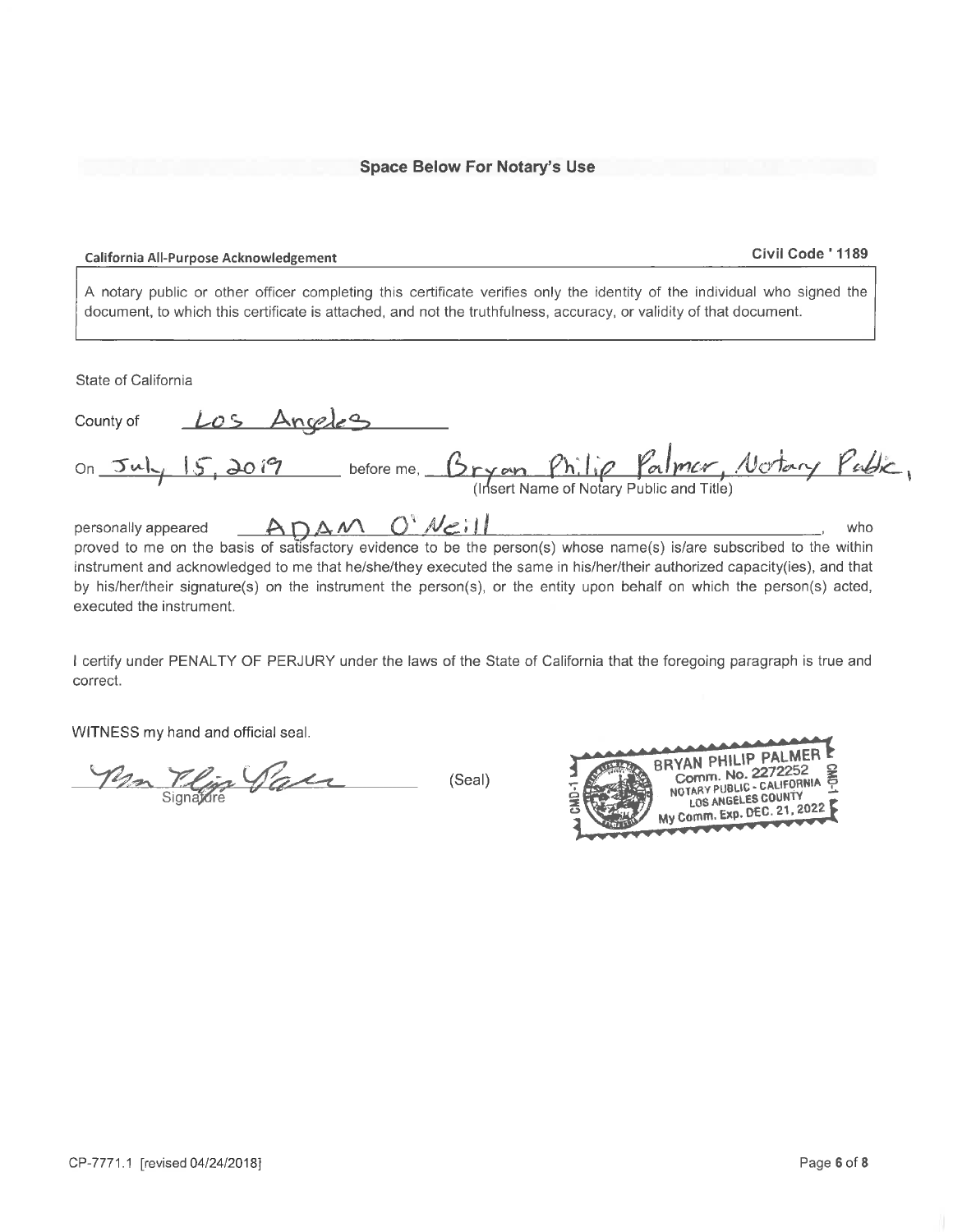#### California All-Purpose Acknowledgement

#### Civil Code ' 1189

A notary public or other officer completing this certificate verifies only the identity of the individual who signed the document, to which this certificate is attached, and not the truthfulness, accuracy, or validity of that document.

State of California

| County of                               | Los Angeles  |                                                |                                          |     |
|-----------------------------------------|--------------|------------------------------------------------|------------------------------------------|-----|
| on $\n  Ju$ $\sqrt{5}$ $\frac{3019}{7}$ |              | before me, Bryan Philip Palmer, Notary Public, | (Insert Name of Notary Public and Title) |     |
| personally appeared                     | ADAM O'Neill |                                                |                                          | who |

proved to me on the basis of satisfactory evidence to be the person(s) whose name(s) is/are subscribed to the within instrument and acknowledged to me that he/she/they executed the same in his/her/their authorized capacity(ies), and that by his/her/their signature(s) on the instrument the person(s), or the entity upon behalf on which the person(s) acted, executed the instrument.

I certify under PENALTY OF PERJURY under the laws of the State of California that the foregoing paragraph is true and correct.

WITNESS my hand and official seal.

Mm Tlijs Sau (Seal)

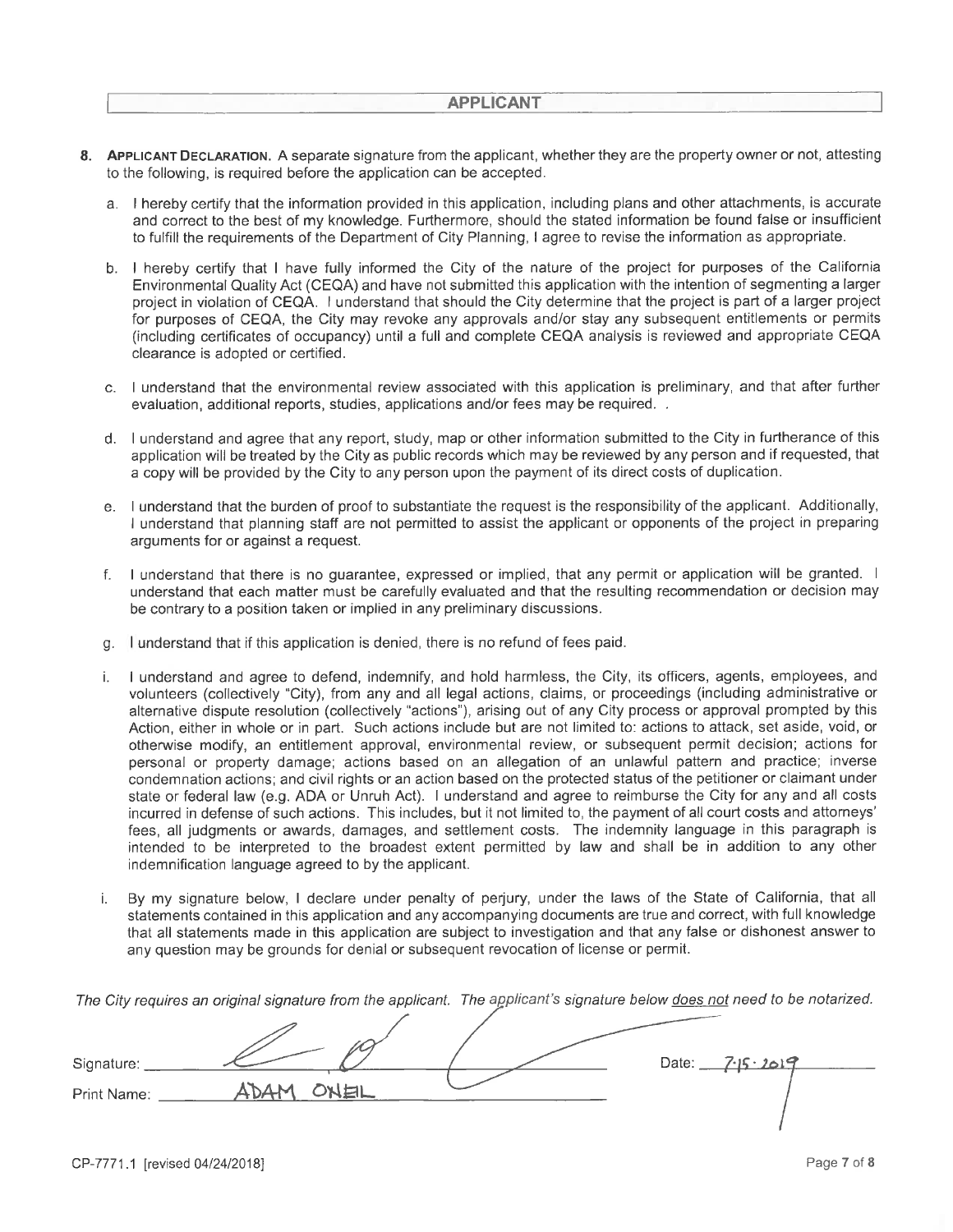- 8. APPLICANT DECLARATION. A separate signature from the applicant, whether they are the property owner or not, attesting to the following, is required before the application can be accepted.
	- a. I hereby certify that the information provided in this application, including plans and other attachments, is accurate and correct to the best of my knowledge. Furthermore, should the stated information be found false or insufficient to fulfill the requirements of the Department of City Planning, I agree to revise the information as appropriate.
	- b. I hereby certify that I have fully informed the City of the nature of the project for purposes of the California Environmental Quality Act (CEQA) and have not submitted this application with the intention of segmenting a larger project in violation of CEQA. I understand that should the City determine that the project is part of a larger project for purposes of CEQA, the City may revoke any approvals and/or stay any subsequent entitlements or permits (including certificates of occupancy) until a full and complete CEQA analysis is reviewed and appropriate CEQA clearance is adopted or certified.
	- c. I understand that the environmental review associated with this application is preliminary, and that after further evaluation, additional reports, studies, applications and/or fees may be required. .
	- d. I understand and agree that any report, study, map or other information submitted to the City in furtherance of this application will be treated by the City as public records which may be reviewed by any person and if requested, that a copy will be provided by the City to any person upon the payment of its direct costs of duplication.
	- e. I understand that the burden of proof to substantiate the request is the responsibility of the applicant. Additionally, I understand that planning staff are not permitted to assist the applicant or opponents of the project in preparing arguments for or against a request.
	- f. I understand that there is no guarantee, expressed or implied, that any permit or application will be granted. I understand that each matter must be carefully evaluated and that the resulting recommendation or decision may be contrary to a position taken or implied in any preliminary discussions.
	- g. I understand that if this application is denied, there is no refund of fees paid.
	- I understand and agree to defend, indemnify, and hold harmless, the City, its officers, agents, employees, and i. volunteers (collectively "City), from any and all legal actions, claims, or proceedings (including administrative or alternative dispute resolution (collectively "actions"), arising out of any City process or approval prompted by this Action, either in whole or in part. Such actions include but are not limited to: actions to attack, set aside, void, or otherwise modify, an entitlement approval, environmental review, or subsequent permit decision; actions for personal or property damage; actions based on an allegation of an unlawful pattern and practice; inverse condemnation actions; and civil rights or an action based on the protected status of the petitioner or claimant under state or federal law (e.g. ADA or Unruh Act). I understand and agree to reimburse the City for any and all costs incurred in defense of such actions. This includes, but it not limited to, the payment of all court costs and attorneys' fees, all judgments or awards, damages, and settlement costs. The indemnity language in this paragraph is intended to be interpreted to the broadest extent permitted by law and shall be in addition to any other indemnification language agreed to by the applicant.
	- By my signature below, I declare under penalty of perjury, under the laws of the State of California, that all i. statements contained in this application and any accompanying documents are true and correct, with full knowledge that all statements made in this application are subject to investigation and that any false or dishonest answer to any question may be grounds for denial or subsequent revocation of license or permit.

The City requires an original signature from the applicant. The applicant's signature below does not need to be notarized.

| Signature:  |                 | 7.15.2019<br>Date: $\_\_$ |
|-------------|-----------------|---------------------------|
| Print Name: | 上<br><b>BAN</b> |                           |